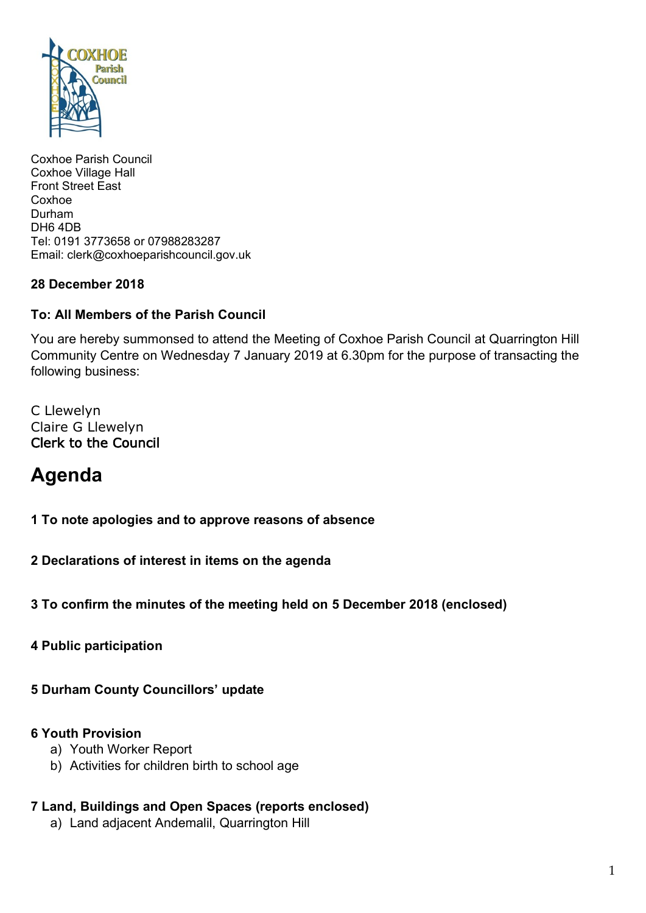

Coxhoe Parish Council Coxhoe Village Hall Front Street East Coxhoe Durham DH6 4DB Tel: 0191 3773658 or 07988283287 Email: clerk@coxhoeparishcouncil.gov.uk

#### **28 December 2018**

#### **To: All Members of the Parish Council**

You are hereby summonsed to attend the Meeting of Coxhoe Parish Council at Quarrington Hill Community Centre on Wednesday 7 January 2019 at 6.30pm for the purpose of transacting the following business:

C Llewelyn Claire G Llewelyn Clerk to the Council

# **Agenda**

**1 To note apologies and to approve reasons of absence**

**2 Declarations of interest in items on the agenda**

**3 To confirm the minutes of the meeting held on 5 December 2018 (enclosed)**

**4 Public participation**

**5 Durham County Councillors' update**

#### **6 Youth Provision**

- a) Youth Worker Report
- b) Activities for children birth to school age

## **7 Land, Buildings and Open Spaces (reports enclosed)**

a) Land adjacent Andemalil, Quarrington Hill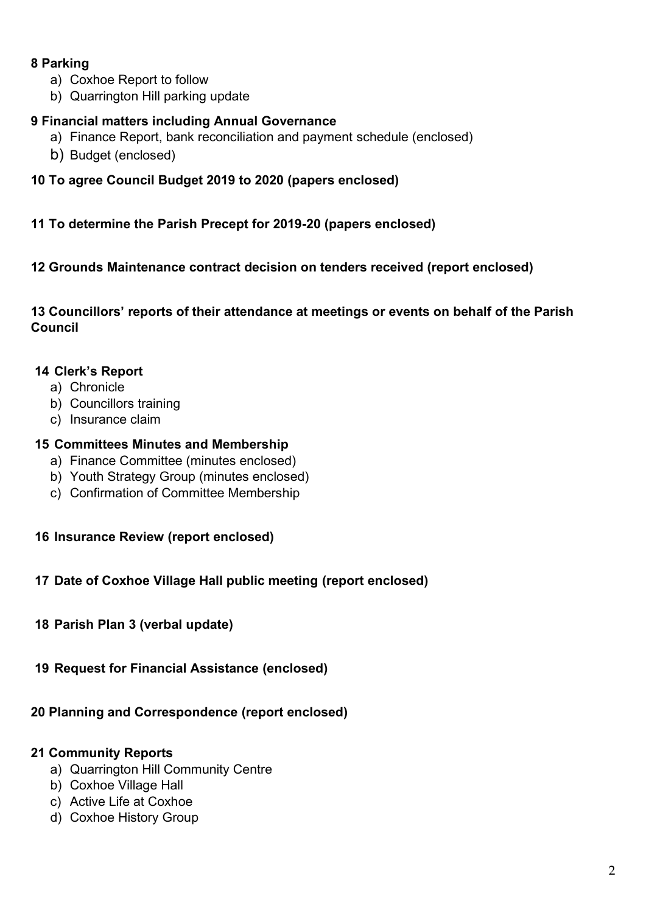#### **8 Parking**

- a) Coxhoe Report to follow
- b) Quarrington Hill parking update

### **9 Financial matters including Annual Governance**

- a) Finance Report, bank reconciliation and payment schedule (enclosed)
- b) Budget (enclosed)

#### **10 To agree Council Budget 2019 to 2020 (papers enclosed)**

#### **11 To determine the Parish Precept for 2019-20 (papers enclosed)**

#### **12 Grounds Maintenance contract decision on tenders received (report enclosed)**

**13 Councillors' reports of their attendance at meetings or events on behalf of the Parish Council**

#### **14 Clerk's Report**

- a) Chronicle
- b) Councillors training
- c) Insurance claim

#### **15 Committees Minutes and Membership**

- a) Finance Committee (minutes enclosed)
- b) Youth Strategy Group (minutes enclosed)
- c) Confirmation of Committee Membership

#### **16 Insurance Review (report enclosed)**

#### **17 Date of Coxhoe Village Hall public meeting (report enclosed)**

- **18 Parish Plan 3 (verbal update)**
- **19 Request for Financial Assistance (enclosed)**

#### **20 Planning and Correspondence (report enclosed)**

#### **21 Community Reports**

- a) Quarrington Hill Community Centre
- b) Coxhoe Village Hall
- c) Active Life at Coxhoe
- d) Coxhoe History Group